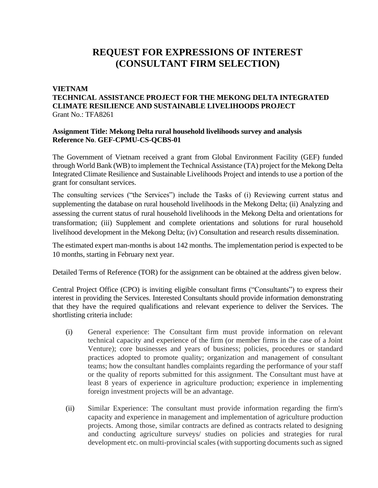## **REQUEST FOR EXPRESSIONS OF INTEREST (CONSULTANT FIRM SELECTION)**

## **VIETNAM**

## **TECHNICAL ASSISTANCE PROJECT FOR THE MEKONG DELTA INTEGRATED CLIMATE RESILIENCE AND SUSTAINABLE LIVELIHOODS PROJECT** Grant No.: TFA8261

## **Assignment Title: Mekong Delta rural household livelihoods survey and analysis Reference No**. **GEF-CPMU-CS-QCBS-01**

The Government of Vietnam received a grant from Global Environment Facility (GEF) funded through World Bank (WB) to implement the Technical Assistance (TA) project for the Mekong Delta Integrated Climate Resilience and Sustainable Livelihoods Project and intends to use a portion of the grant for consultant services.

The consulting services ("the Services") include the Tasks of (i) Reviewing current status and supplementing the database on rural household livelihoods in the Mekong Delta; (ii) Analyzing and assessing the current status of rural household livelihoods in the Mekong Delta and orientations for transformation; (iii) Supplement and complete orientations and solutions for rural household livelihood development in the Mekong Delta; (iv) Consultation and research results dissemination.

The estimated expert man-months is about 142 months. The implementation period is expected to be 10 months, starting in February next year.

Detailed Terms of Reference (TOR) for the assignment can be obtained at the address given below.

Central Project Office (CPO) is inviting eligible consultant firms ("Consultants") to express their interest in providing the Services. Interested Consultants should provide information demonstrating that they have the required qualifications and relevant experience to deliver the Services. The shortlisting criteria include:

- (i) General experience: The Consultant firm must provide information on relevant technical capacity and experience of the firm (or member firms in the case of a Joint Venture); core businesses and years of business; policies, procedures or standard practices adopted to promote quality; organization and management of consultant teams; how the consultant handles complaints regarding the performance of your staff or the quality of reports submitted for this assignment. The Consultant must have at least 8 years of experience in agriculture production; experience in implementing foreign investment projects will be an advantage.
- (ii) Similar Experience: The consultant must provide information regarding the firm's capacity and experience in management and implementation of agriculture production projects. Among those, similar contracts are defined as contracts related to designing and conducting agriculture surveys/ studies on policies and strategies for rural development etc. on multi-provincial scales (with supporting documents such as signed